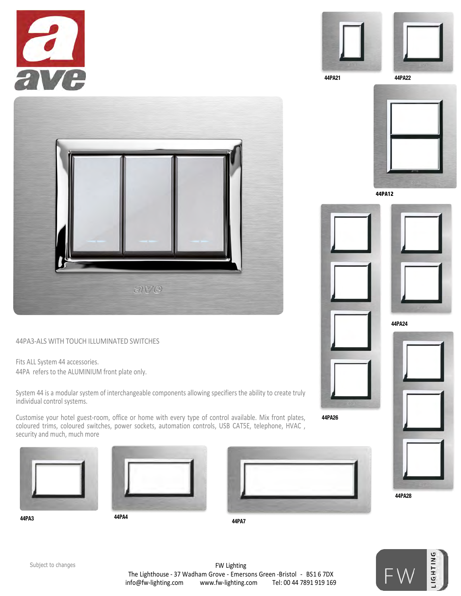



44PA21 44PA22



**44PA12**













44PA3-ALS WITH TOUCH ILLUMINATED SWITCHES

Fits ALL System 44 accessories. 44PA refers to the ALUMINIUM front plate only.

System 44 is a modular system of interchangeable components allowing specifiers the ability to create truly individual control systems.

Customise your hotel guest-room, office or home with every type of control available. Mix front plates, coloured trims, coloured switches, power sockets, automation controls, USB CAT5E, telephone, HVAC , security and much, much more





44PA26

FW Lighting The Lighthouse - 37 Wadham Grove - Emersons Green -Bristol - BS1 6 7DX info@fw-lighting.com www.fw-lighting.com Tel: 00 44 7891 919 169 Subject to changes and the control of the control of the control of the control of the control of  $\mathbb{E}$